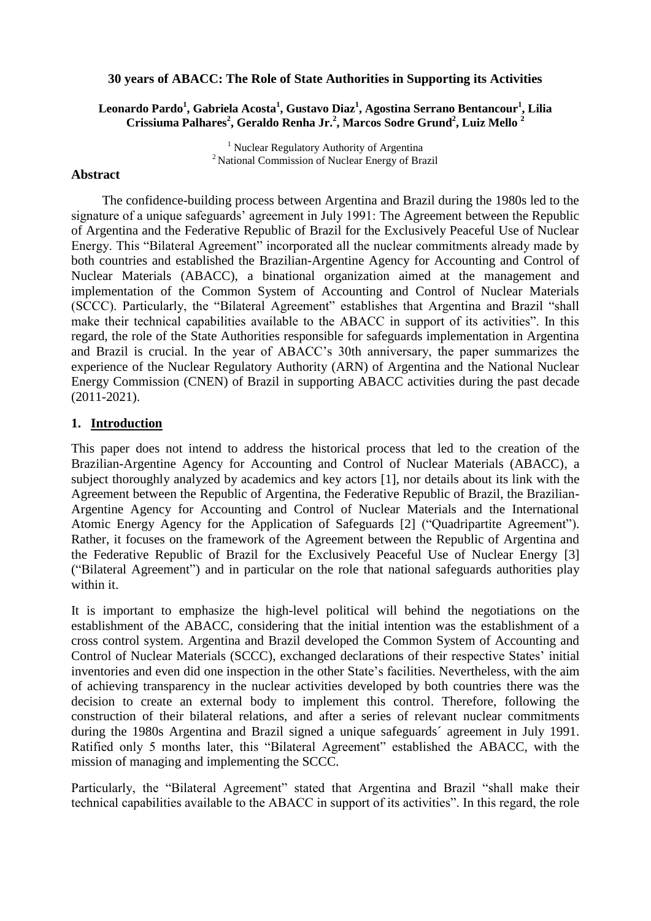#### **30 years of ABACC: The Role of State Authorities in Supporting its Activities**

### **Leonardo Pardo<sup>1</sup> , Gabriela Acosta<sup>1</sup> , Gustavo Diaz<sup>1</sup> , Agostina Serrano Bentancour<sup>1</sup> , Lilia Crissiuma Palhares<sup>2</sup> , Geraldo Renha Jr.<sup>2</sup> , Marcos Sodre Grund<sup>2</sup> , Luiz Mello <sup>2</sup>**

<sup>1</sup> Nuclear Regulatory Authority of Argentina <sup>2</sup>National Commission of Nuclear Energy of Brazil

#### **Abstract**

The confidence-building process between Argentina and Brazil during the 1980s led to the signature of a unique safeguards' agreement in July 1991: The Agreement between the Republic of Argentina and the Federative Republic of Brazil for the Exclusively Peaceful Use of Nuclear Energy. This "Bilateral Agreement" incorporated all the nuclear commitments already made by both countries and established the Brazilian-Argentine Agency for Accounting and Control of Nuclear Materials (ABACC), a binational organization aimed at the management and implementation of the Common System of Accounting and Control of Nuclear Materials (SCCC). Particularly, the "Bilateral Agreement" establishes that Argentina and Brazil "shall make their technical capabilities available to the ABACC in support of its activities". In this regard, the role of the State Authorities responsible for safeguards implementation in Argentina and Brazil is crucial. In the year of ABACC's 30th anniversary, the paper summarizes the experience of the Nuclear Regulatory Authority (ARN) of Argentina and the National Nuclear Energy Commission (CNEN) of Brazil in supporting ABACC activities during the past decade (2011-2021).

### **1. Introduction**

This paper does not intend to address the historical process that led to the creation of the Brazilian-Argentine Agency for Accounting and Control of Nuclear Materials (ABACC), a subject thoroughly analyzed by academics and key actors [1], nor details about its link with the Agreement between the Republic of Argentina, the Federative Republic of Brazil, the Brazilian-Argentine Agency for Accounting and Control of Nuclear Materials and the International Atomic Energy Agency for the Application of Safeguards [2] ("Quadripartite Agreement"). Rather, it focuses on the framework of the Agreement between the Republic of Argentina and the Federative Republic of Brazil for the Exclusively Peaceful Use of Nuclear Energy [3] ("Bilateral Agreement") and in particular on the role that national safeguards authorities play within it.

It is important to emphasize the high-level political will behind the negotiations on the establishment of the ABACC, considering that the initial intention was the establishment of a cross control system. Argentina and Brazil developed the Common System of Accounting and Control of Nuclear Materials (SCCC), exchanged declarations of their respective States' initial inventories and even did one inspection in the other State's facilities. Nevertheless, with the aim of achieving transparency in the nuclear activities developed by both countries there was the decision to create an external body to implement this control. Therefore, following the construction of their bilateral relations, and after a series of relevant nuclear commitments during the 1980s Argentina and Brazil signed a unique safeguards´ agreement in July 1991. Ratified only 5 months later, this "Bilateral Agreement" established the ABACC, with the mission of managing and implementing the SCCC.

Particularly, the "Bilateral Agreement" stated that Argentina and Brazil "shall make their technical capabilities available to the ABACC in support of its activities". In this regard, the role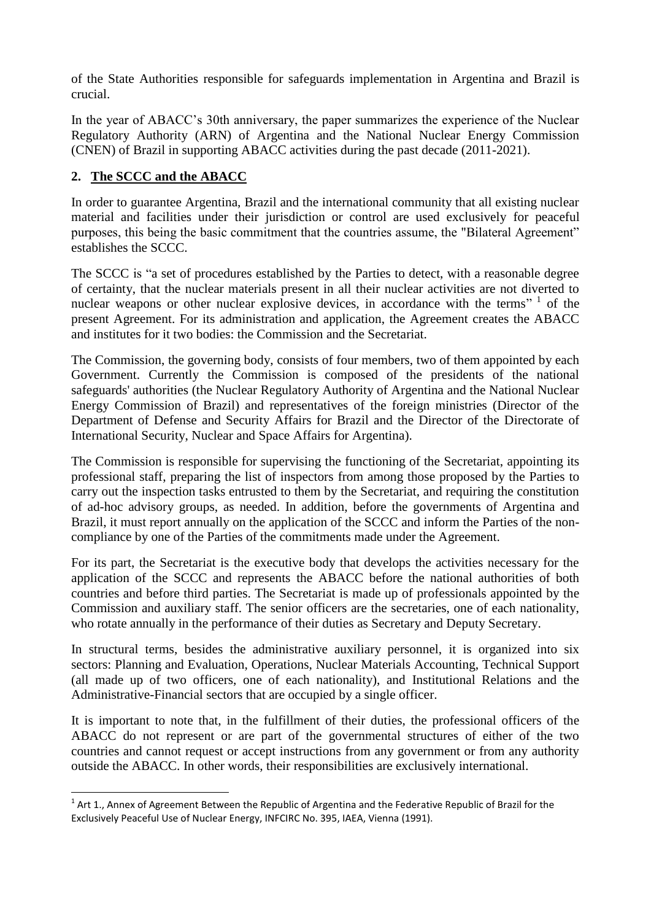of the State Authorities responsible for safeguards implementation in Argentina and Brazil is crucial.

In the year of ABACC's 30th anniversary, the paper summarizes the experience of the Nuclear Regulatory Authority (ARN) of Argentina and the National Nuclear Energy Commission (CNEN) of Brazil in supporting ABACC activities during the past decade (2011-2021).

# **2. The SCCC and the ABACC**

 $\overline{a}$ 

In order to guarantee Argentina, Brazil and the international community that all existing nuclear material and facilities under their jurisdiction or control are used exclusively for peaceful purposes, this being the basic commitment that the countries assume, the "Bilateral Agreement" establishes the SCCC.

The SCCC is "a set of procedures established by the Parties to detect, with a reasonable degree of certainty, that the nuclear materials present in all their nuclear activities are not diverted to nuclear weapons or other nuclear explosive devices, in accordance with the terms"<sup>1</sup> of the present Agreement. For its administration and application, the Agreement creates the ABACC and institutes for it two bodies: the Commission and the Secretariat.

The Commission, the governing body, consists of four members, two of them appointed by each Government. Currently the Commission is composed of the presidents of the national safeguards' authorities (the Nuclear Regulatory Authority of Argentina and the National Nuclear Energy Commission of Brazil) and representatives of the foreign ministries (Director of the Department of Defense and Security Affairs for Brazil and the Director of the Directorate of International Security, Nuclear and Space Affairs for Argentina).

The Commission is responsible for supervising the functioning of the Secretariat, appointing its professional staff, preparing the list of inspectors from among those proposed by the Parties to carry out the inspection tasks entrusted to them by the Secretariat, and requiring the constitution of ad-hoc advisory groups, as needed. In addition, before the governments of Argentina and Brazil, it must report annually on the application of the SCCC and inform the Parties of the noncompliance by one of the Parties of the commitments made under the Agreement.

For its part, the Secretariat is the executive body that develops the activities necessary for the application of the SCCC and represents the ABACC before the national authorities of both countries and before third parties. The Secretariat is made up of professionals appointed by the Commission and auxiliary staff. The senior officers are the secretaries, one of each nationality, who rotate annually in the performance of their duties as Secretary and Deputy Secretary.

In structural terms, besides the administrative auxiliary personnel, it is organized into six sectors: Planning and Evaluation, Operations, Nuclear Materials Accounting, Technical Support (all made up of two officers, one of each nationality), and Institutional Relations and the Administrative-Financial sectors that are occupied by a single officer.

It is important to note that, in the fulfillment of their duties, the professional officers of the ABACC do not represent or are part of the governmental structures of either of the two countries and cannot request or accept instructions from any government or from any authority outside the ABACC. In other words, their responsibilities are exclusively international.

 $1$  Art 1., Annex of Agreement Between the Republic of Argentina and the Federative Republic of Brazil for the Exclusively Peaceful Use of Nuclear Energy, INFCIRC No. 395, IAEA, Vienna (1991).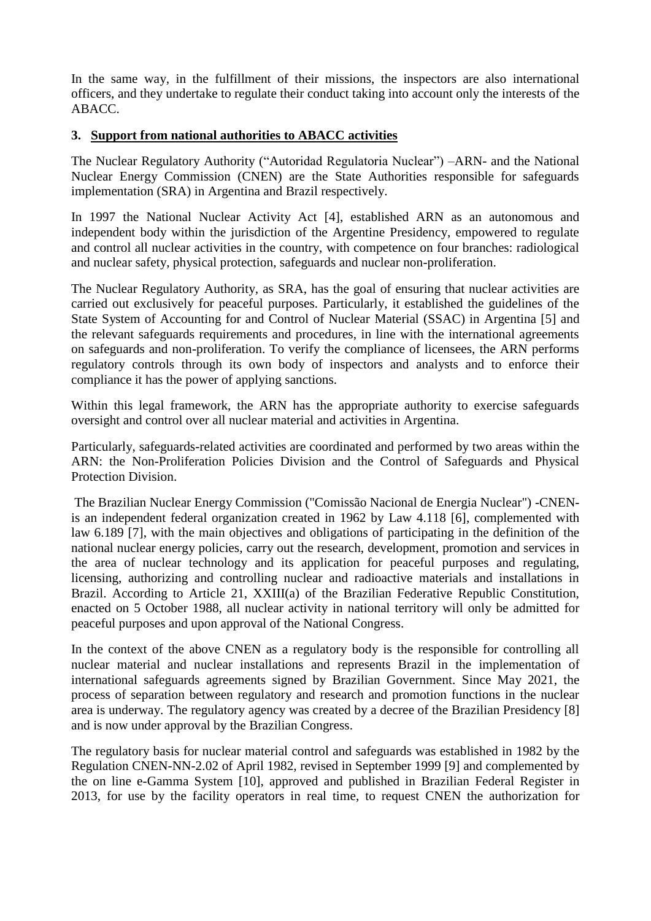In the same way, in the fulfillment of their missions, the inspectors are also international officers, and they undertake to regulate their conduct taking into account only the interests of the ABACC.

### **3. Support from national authorities to ABACC activities**

The Nuclear Regulatory Authority ("Autoridad Regulatoria Nuclear") –ARN- and the National Nuclear Energy Commission (CNEN) are the State Authorities responsible for safeguards implementation (SRA) in Argentina and Brazil respectively.

In 1997 the National Nuclear Activity Act [4], established ARN as an autonomous and independent body within the jurisdiction of the Argentine Presidency, empowered to regulate and control all nuclear activities in the country, with competence on four branches: radiological and nuclear safety, physical protection, safeguards and nuclear non-proliferation.

The Nuclear Regulatory Authority, as SRA, has the goal of ensuring that nuclear activities are carried out exclusively for peaceful purposes. Particularly, it established the guidelines of the State System of Accounting for and Control of Nuclear Material (SSAC) in Argentina [5] and the relevant safeguards requirements and procedures, in line with the international agreements on safeguards and non-proliferation. To verify the compliance of licensees, the ARN performs regulatory controls through its own body of inspectors and analysts and to enforce their compliance it has the power of applying sanctions.

Within this legal framework, the ARN has the appropriate authority to exercise safeguards oversight and control over all nuclear material and activities in Argentina.

Particularly, safeguards-related activities are coordinated and performed by two areas within the ARN: the Non-Proliferation Policies Division and the Control of Safeguards and Physical Protection Division.

The Brazilian Nuclear Energy Commission ("Comissão Nacional de Energia Nuclear") -CNENis an independent federal organization created in 1962 by Law 4.118 [6], complemented with law 6.189 [7], with the main objectives and obligations of participating in the definition of the national nuclear energy policies, carry out the research, development, promotion and services in the area of nuclear technology and its application for peaceful purposes and regulating, licensing, authorizing and controlling nuclear and radioactive materials and installations in Brazil. According to Article 21, XXIII(a) of the Brazilian Federative Republic Constitution, enacted on 5 October 1988, all nuclear activity in national territory will only be admitted for peaceful purposes and upon approval of the National Congress.

In the context of the above CNEN as a regulatory body is the responsible for controlling all nuclear material and nuclear installations and represents Brazil in the implementation of international safeguards agreements signed by Brazilian Government. Since May 2021, the process of separation between regulatory and research and promotion functions in the nuclear area is underway. The regulatory agency was created by a decree of the Brazilian Presidency [8] and is now under approval by the Brazilian Congress.

The regulatory basis for nuclear material control and safeguards was established in 1982 by the Regulation CNEN-NN-2.02 of April 1982, revised in September 1999 [9] and complemented by the on line e-Gamma System [10], approved and published in Brazilian Federal Register in 2013, for use by the facility operators in real time, to request CNEN the authorization for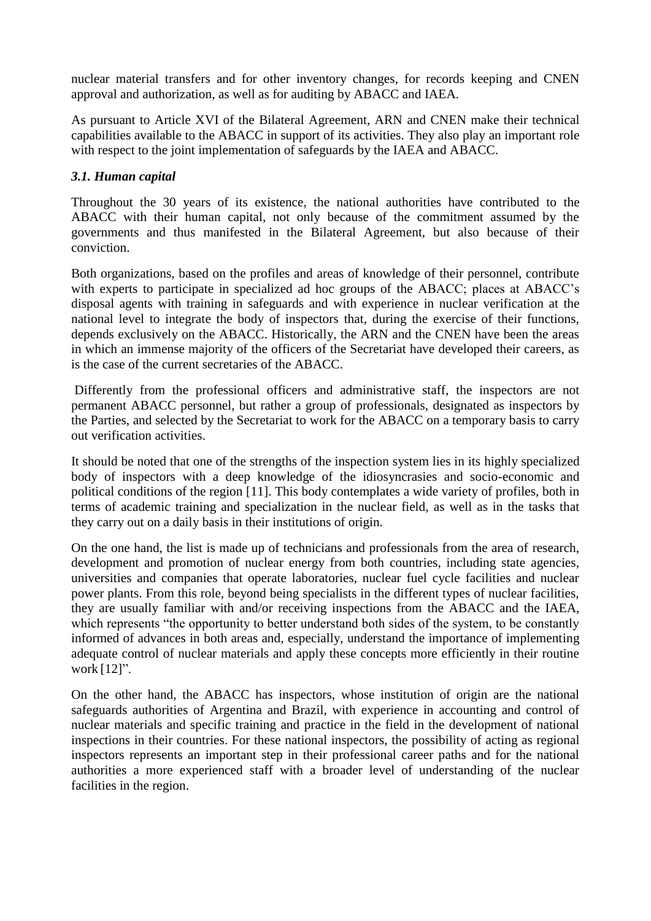nuclear material transfers and for other inventory changes, for records keeping and CNEN approval and authorization, as well as for auditing by ABACC and IAEA.

As pursuant to Article XVI of the Bilateral Agreement, ARN and CNEN make their technical capabilities available to the ABACC in support of its activities. They also play an important role with respect to the joint implementation of safeguards by the IAEA and ABACC.

### *3.1. Human capital*

Throughout the 30 years of its existence, the national authorities have contributed to the ABACC with their human capital, not only because of the commitment assumed by the governments and thus manifested in the Bilateral Agreement, but also because of their conviction.

Both organizations, based on the profiles and areas of knowledge of their personnel, contribute with experts to participate in specialized ad hoc groups of the ABACC; places at ABACC's disposal agents with training in safeguards and with experience in nuclear verification at the national level to integrate the body of inspectors that, during the exercise of their functions, depends exclusively on the ABACC. Historically, the ARN and the CNEN have been the areas in which an immense majority of the officers of the Secretariat have developed their careers, as is the case of the current secretaries of the ABACC.

Differently from the professional officers and administrative staff, the inspectors are not permanent ABACC personnel, but rather a group of professionals, designated as inspectors by the Parties, and selected by the Secretariat to work for the ABACC on a temporary basis to carry out verification activities.

It should be noted that one of the strengths of the inspection system lies in its highly specialized body of inspectors with a deep knowledge of the idiosyncrasies and socio-economic and political conditions of the region [11]. This body contemplates a wide variety of profiles, both in terms of academic training and specialization in the nuclear field, as well as in the tasks that they carry out on a daily basis in their institutions of origin.

On the one hand, the list is made up of technicians and professionals from the area of research, development and promotion of nuclear energy from both countries, including state agencies, universities and companies that operate laboratories, nuclear fuel cycle facilities and nuclear power plants. From this role, beyond being specialists in the different types of nuclear facilities, they are usually familiar with and/or receiving inspections from the ABACC and the IAEA, which represents "the opportunity to better understand both sides of the system, to be constantly informed of advances in both areas and, especially, understand the importance of implementing adequate control of nuclear materials and apply these concepts more efficiently in their routine work [12]".

On the other hand, the ABACC has inspectors, whose institution of origin are the national safeguards authorities of Argentina and Brazil, with experience in accounting and control of nuclear materials and specific training and practice in the field in the development of national inspections in their countries. For these national inspectors, the possibility of acting as regional inspectors represents an important step in their professional career paths and for the national authorities a more experienced staff with a broader level of understanding of the nuclear facilities in the region.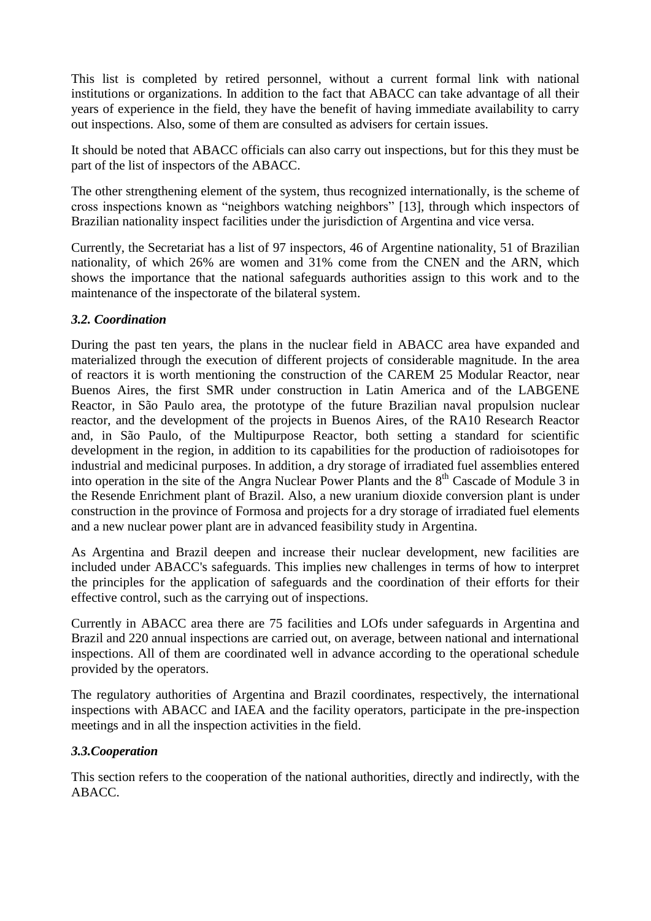This list is completed by retired personnel, without a current formal link with national institutions or organizations. In addition to the fact that ABACC can take advantage of all their years of experience in the field, they have the benefit of having immediate availability to carry out inspections. Also, some of them are consulted as advisers for certain issues.

It should be noted that ABACC officials can also carry out inspections, but for this they must be part of the list of inspectors of the ABACC.

The other strengthening element of the system, thus recognized internationally, is the scheme of cross inspections known as "neighbors watching neighbors" [13], through which inspectors of Brazilian nationality inspect facilities under the jurisdiction of Argentina and vice versa.

Currently, the Secretariat has a list of 97 inspectors, 46 of Argentine nationality, 51 of Brazilian nationality, of which 26% are women and 31% come from the CNEN and the ARN, which shows the importance that the national safeguards authorities assign to this work and to the maintenance of the inspectorate of the bilateral system.

## *3.2. Coordination*

During the past ten years, the plans in the nuclear field in ABACC area have expanded and materialized through the execution of different projects of considerable magnitude. In the area of reactors it is worth mentioning the construction of the CAREM 25 Modular Reactor, near Buenos Aires, the first SMR under construction in Latin America and of the LABGENE Reactor, in São Paulo area, the prototype of the future Brazilian naval propulsion nuclear reactor, and the development of the projects in Buenos Aires, of the RA10 Research Reactor and, in São Paulo, of the Multipurpose Reactor, both setting a standard for scientific development in the region, in addition to its capabilities for the production of radioisotopes for industrial and medicinal purposes. In addition, a dry storage of irradiated fuel assemblies entered into operation in the site of the Angra Nuclear Power Plants and the  $8<sup>th</sup>$  Cascade of Module 3 in the Resende Enrichment plant of Brazil. Also, a new uranium dioxide conversion plant is under construction in the province of Formosa and projects for a dry storage of irradiated fuel elements and a new nuclear power plant are in advanced feasibility study in Argentina.

As Argentina and Brazil deepen and increase their nuclear development, new facilities are included under ABACC's safeguards. This implies new challenges in terms of how to interpret the principles for the application of safeguards and the coordination of their efforts for their effective control, such as the carrying out of inspections.

Currently in ABACC area there are 75 facilities and LOfs under safeguards in Argentina and Brazil and 220 annual inspections are carried out, on average, between national and international inspections. All of them are coordinated well in advance according to the operational schedule provided by the operators.

The regulatory authorities of Argentina and Brazil coordinates, respectively, the international inspections with ABACC and IAEA and the facility operators, participate in the pre-inspection meetings and in all the inspection activities in the field.

## *3.3.Cooperation*

This section refers to the cooperation of the national authorities, directly and indirectly, with the ABACC.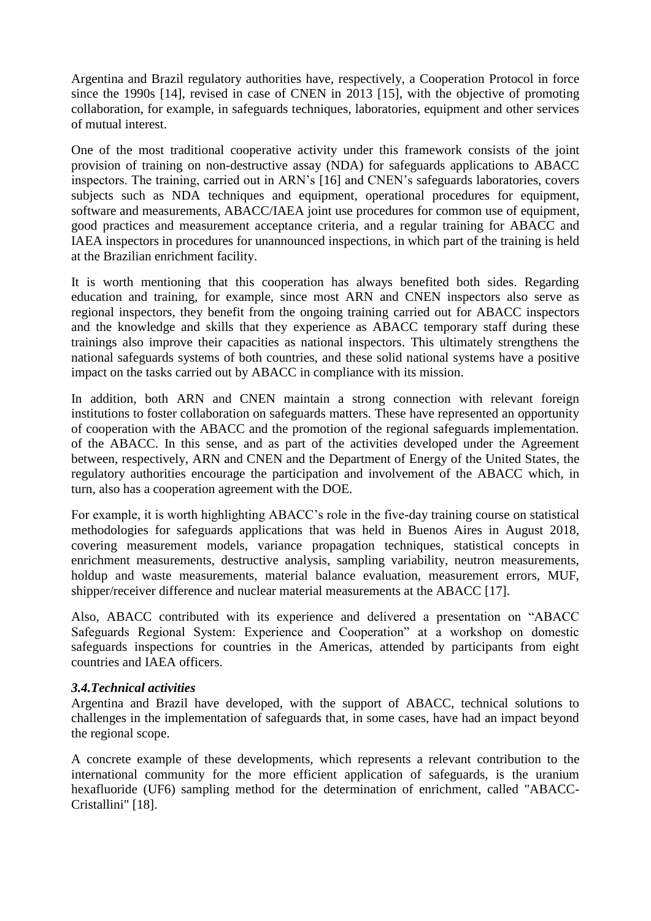Argentina and Brazil regulatory authorities have, respectively, a Cooperation Protocol in force since the 1990s [14], revised in case of CNEN in 2013 [15], with the objective of promoting collaboration, for example, in safeguards techniques, laboratories, equipment and other services of mutual interest.

One of the most traditional cooperative activity under this framework consists of the joint provision of training on non-destructive assay (NDA) for safeguards applications to ABACC inspectors. The training, carried out in ARN's [16] and CNEN's safeguards laboratories, covers subjects such as NDA techniques and equipment, operational procedures for equipment, software and measurements, ABACC/IAEA joint use procedures for common use of equipment, good practices and measurement acceptance criteria, and a regular training for ABACC and IAEA inspectors in procedures for unannounced inspections, in which part of the training is held at the Brazilian enrichment facility.

It is worth mentioning that this cooperation has always benefited both sides. Regarding education and training, for example, since most ARN and CNEN inspectors also serve as regional inspectors, they benefit from the ongoing training carried out for ABACC inspectors and the knowledge and skills that they experience as ABACC temporary staff during these trainings also improve their capacities as national inspectors. This ultimately strengthens the national safeguards systems of both countries, and these solid national systems have a positive impact on the tasks carried out by ABACC in compliance with its mission.

In addition, both ARN and CNEN maintain a strong connection with relevant foreign institutions to foster collaboration on safeguards matters. These have represented an opportunity of cooperation with the ABACC and the promotion of the regional safeguards implementation. of the ABACC. In this sense, and as part of the activities developed under the Agreement between, respectively, ARN and CNEN and the Department of Energy of the United States, the regulatory authorities encourage the participation and involvement of the ABACC which, in turn, also has a cooperation agreement with the DOE.

For example, it is worth highlighting ABACC's role in the five-day training course on statistical methodologies for safeguards applications that was held in Buenos Aires in August 2018, covering measurement models, variance propagation techniques, statistical concepts in enrichment measurements, destructive analysis, sampling variability, neutron measurements, holdup and waste measurements, material balance evaluation, measurement errors, MUF, shipper/receiver difference and nuclear material measurements at the ABACC [17].

Also, ABACC contributed with its experience and delivered a presentation on "ABACC Safeguards Regional System: Experience and Cooperation" at a workshop on domestic safeguards inspections for countries in the Americas, attended by participants from eight countries and IAEA officers.

### *3.4.Technical activities*

Argentina and Brazil have developed, with the support of ABACC, technical solutions to challenges in the implementation of safeguards that, in some cases, have had an impact beyond the regional scope.

A concrete example of these developments, which represents a relevant contribution to the international community for the more efficient application of safeguards, is the uranium hexafluoride (UF6) sampling method for the determination of enrichment, called "ABACC-Cristallini" [18].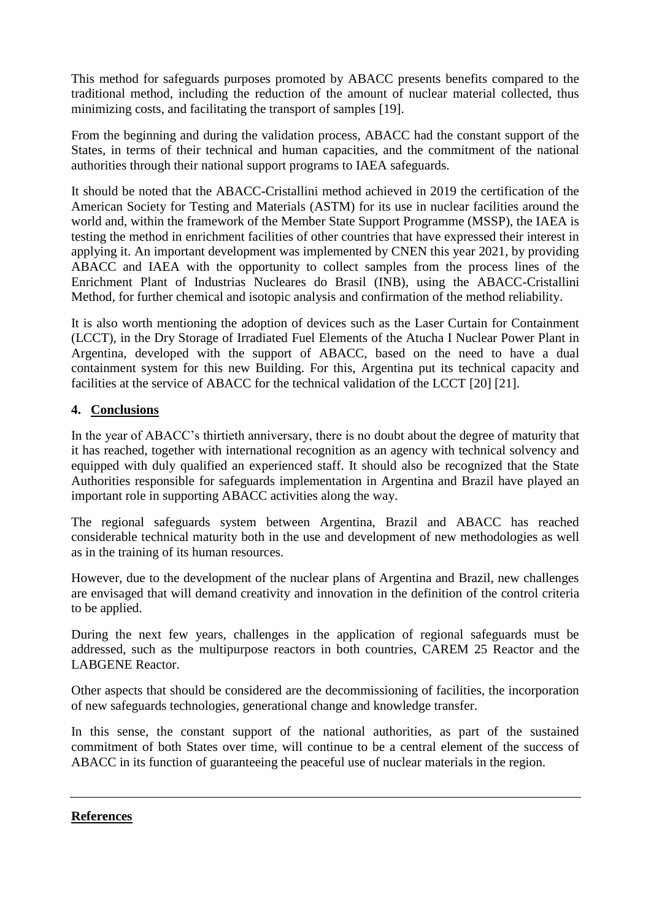This method for safeguards purposes promoted by ABACC presents benefits compared to the traditional method, including the reduction of the amount of nuclear material collected, thus minimizing costs, and facilitating the transport of samples [19].

From the beginning and during the validation process, ABACC had the constant support of the States, in terms of their technical and human capacities, and the commitment of the national authorities through their national support programs to IAEA safeguards.

It should be noted that the ABACC-Cristallini method achieved in 2019 the certification of the American Society for Testing and Materials (ASTM) for its use in nuclear facilities around the world and, within the framework of the Member State Support Programme (MSSP), the IAEA is testing the method in enrichment facilities of other countries that have expressed their interest in applying it. An important development was implemented by CNEN this year 2021, by providing ABACC and IAEA with the opportunity to collect samples from the process lines of the Enrichment Plant of Industrias Nucleares do Brasil (INB), using the ABACC-Cristallini Method, for further chemical and isotopic analysis and confirmation of the method reliability.

It is also worth mentioning the adoption of devices such as the Laser Curtain for Containment (LCCT), in the Dry Storage of Irradiated Fuel Elements of the Atucha I Nuclear Power Plant in Argentina, developed with the support of ABACC, based on the need to have a dual containment system for this new Building. For this, Argentina put its technical capacity and facilities at the service of ABACC for the technical validation of the LCCT [20] [21].

## **4. Conclusions**

In the year of ABACC's thirtieth anniversary, there is no doubt about the degree of maturity that it has reached, together with international recognition as an agency with technical solvency and equipped with duly qualified an experienced staff. It should also be recognized that the State Authorities responsible for safeguards implementation in Argentina and Brazil have played an important role in supporting ABACC activities along the way.

The regional safeguards system between Argentina, Brazil and ABACC has reached considerable technical maturity both in the use and development of new methodologies as well as in the training of its human resources.

However, due to the development of the nuclear plans of Argentina and Brazil, new challenges are envisaged that will demand creativity and innovation in the definition of the control criteria to be applied.

During the next few years, challenges in the application of regional safeguards must be addressed, such as the multipurpose reactors in both countries, CAREM 25 Reactor and the LABGENE Reactor.

Other aspects that should be considered are the decommissioning of facilities, the incorporation of new safeguards technologies, generational change and knowledge transfer.

In this sense, the constant support of the national authorities, as part of the sustained commitment of both States over time, will continue to be a central element of the success of ABACC in its function of guaranteeing the peaceful use of nuclear materials in the region.

### **References**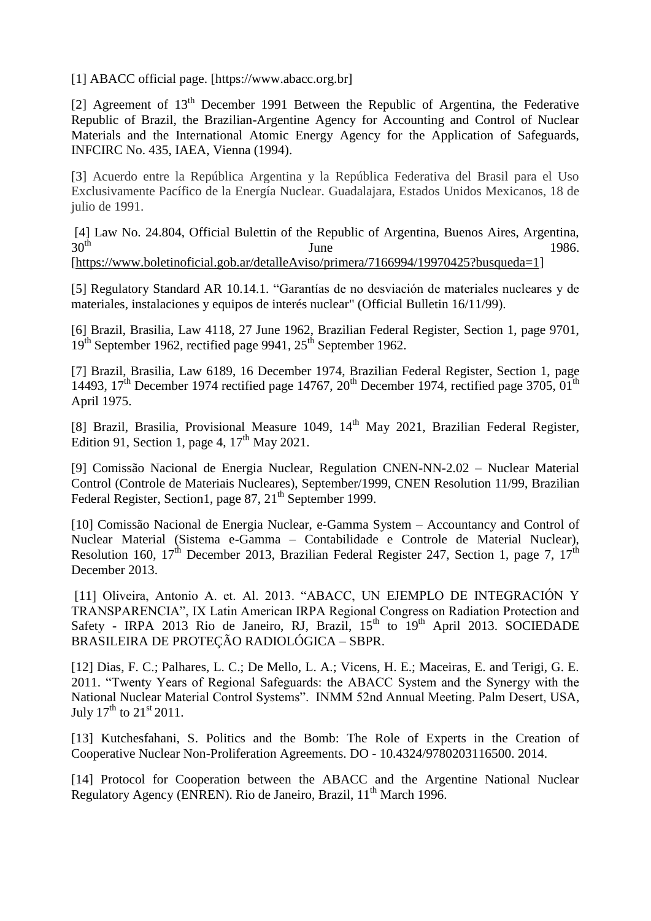[1] ABACC official page. [https://www.abacc.org.br]

[2] Agreement of  $13<sup>th</sup>$  December 1991 Between the Republic of Argentina, the Federative Republic of Brazil, the Brazilian-Argentine Agency for Accounting and Control of Nuclear Materials and the International Atomic Energy Agency for the Application of Safeguards, INFCIRC No. 435, IAEA, Vienna (1994).

[3] Acuerdo entre la República Argentina y la República Federativa del Brasil para el Uso Exclusivamente Pacífico de la Energía Nuclear. Guadalajara, Estados Unidos Mexicanos, 18 de julio de 1991.

[4] Law No. 24.804, Official Bulettin of the Republic of Argentina, Buenos Aires, Argentina,  $30<sup>th</sup>$  June 1986.

[\[https://www.boletinoficial.gob.ar/detalleAviso/primera/7166994/19970425?busqueda=1\]](https://www.boletinoficial.gob.ar/detalleAviso/primera/7166994/19970425?busqueda=1)

[5] Regulatory Standard AR 10.14.1. "Garantías de no desviación de materiales nucleares y de materiales, instalaciones y equipos de interés nuclear" (Official Bulletin 16/11/99).

[6] Brazil, Brasilia, Law 4118, 27 June 1962, Brazilian Federal Register, Section 1, page 9701, 19<sup>th</sup> September 1962, rectified page 9941, 25<sup>th</sup> September 1962.

[7] Brazil, Brasilia, Law 6189, 16 December 1974, Brazilian Federal Register, Section 1, page 14493,  $17<sup>th</sup>$  December 1974 rectified page 14767,  $20<sup>th</sup>$  December 1974, rectified page 3705, 01<sup>th</sup> April 1975.

[8] Brazil, Brasilia, Provisional Measure 1049, 14<sup>th</sup> May 2021, Brazilian Federal Register, Edition 91, Section 1, page 4,  $17<sup>th</sup>$  May 2021.

[9] Comissão Nacional de Energia Nuclear, Regulation CNEN-NN-2.02 – Nuclear Material Control (Controle de Materiais Nucleares), September/1999, CNEN Resolution 11/99, Brazilian Federal Register, Section1, page 87, 21<sup>th</sup> September 1999.

[10] Comissão Nacional de Energia Nuclear, e-Gamma System – Accountancy and Control of Nuclear Material (Sistema e-Gamma – Contabilidade e Controle de Material Nuclear), Resolution 160, 17<sup>th</sup> December 2013, Brazilian Federal Register 247, Section 1, page 7, 17<sup>th</sup> December 2013.

[11] Oliveira, Antonio A. et. Al. 2013. "ABACC, UN EJEMPLO DE INTEGRACIÓN Y TRANSPARENCIA", IX Latin American IRPA Regional Congress on Radiation Protection and Safety - IRPA 2013 Rio de Janeiro, RJ, Brazil,  $15<sup>th</sup>$  to  $19<sup>th</sup>$  April 2013. SOCIEDADE BRASILEIRA DE PROTEÇÃO RADIOLÓGICA – SBPR.

[12] Dias, F. C.; Palhares, L. C.; De Mello, L. A.; Vicens, H. E.; Maceiras, E. and Terigi, G. E. 2011. "Twenty Years of Regional Safeguards: the ABACC System and the Synergy with the National Nuclear Material Control Systems". INMM 52nd Annual Meeting. Palm Desert, USA, July  $17^{th}$  to  $21^{st}$  2011.

[13] Kutchesfahani, S. Politics and the Bomb: The Role of Experts in the Creation of Cooperative Nuclear Non-Proliferation Agreements. DO - 10.4324/9780203116500. 2014.

[14] Protocol for Cooperation between the ABACC and the Argentine National Nuclear Regulatory Agency (ENREN). Rio de Janeiro, Brazil, 11<sup>th</sup> March 1996.